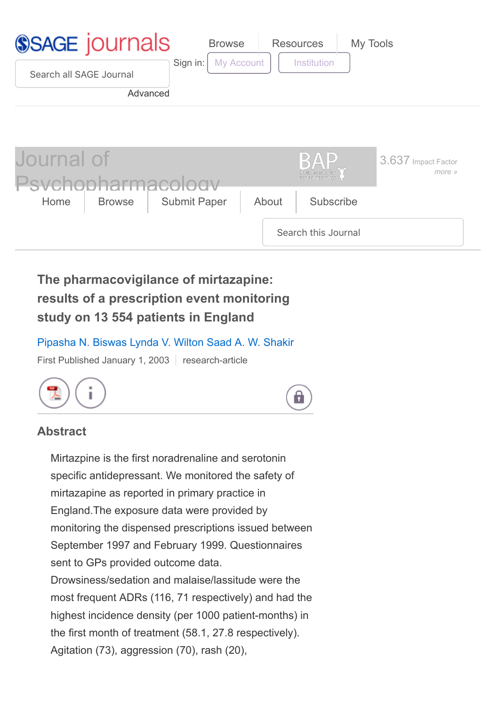

# **The pharmacovigilance of mirtazapine: results of a prescription event monitoring study on 13 554 patients in England**

### [Pipasha N. Biswas](http://journals.sagepub.com/author/Biswas%2C+Pipasha+N) [Lynda V. Wilton](http://journals.sagepub.com/author/Wilton%2C+Lynda+V) [Saad A. W. Shakir](http://journals.sagepub.com/author/Shakir%2C+Saad+A+W)

First Published January 1, 2003 | research-article





### **Abstract**

Mirtazpine is the first noradrenaline and serotonin specific antidepressant. We monitored the safety of mirtazapine as reported in primary practice in England.The exposure data were provided by monitoring the dispensed prescriptions issued between September 1997 and February 1999. Questionnaires sent to GPs provided outcome data. Drowsiness/sedation and malaise/lassitude were the most frequent ADRs (116, 71 respectively) and had the highest incidence density (per 1000 patient-months) in the first month of treatment (58.1, 27.8 respectively). Agitation (73), aggression (70), rash (20),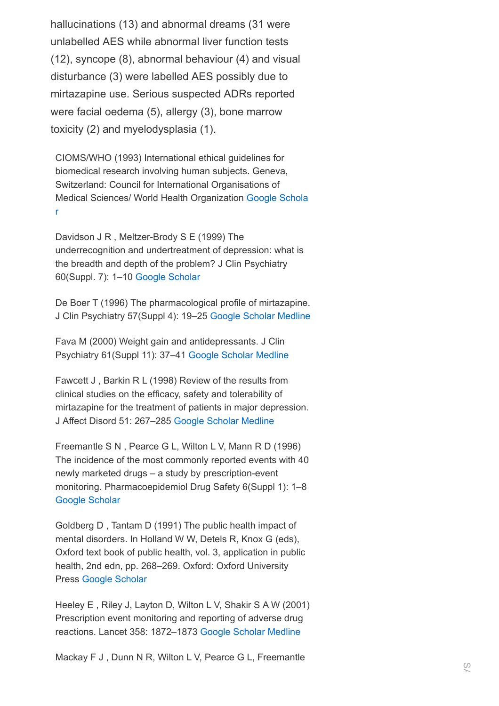hallucinations (13) and abnormal dreams (31 were unlabelled AES while abnormal liver function tests (12), syncope (8), abnormal behaviour (4) and visual disturbance (3) were labelled AES possibly due to mirtazapine use. Serious suspected ADRs reported were facial oedema (5), allergy (3), bone marrow toxicity (2) and myelodysplasia (1).

CIOMS/WHO (1993) International ethical guidelines for biomedical research involving human subjects. Geneva, Switzerland: Council for International Organisations of [Medical Sciences/ World Health Organization](http://scholar.google.com/scholar_lookup?publication_year=1993&author=+CIOMS/WHO&title=International+ethical+guidelines+for+biomedical+research+involving+human+subjects) Google Schola r

Davidson J R , Meltzer-Brody S E (1999) The underrecognition and undertreatment of depression: what is the breadth and depth of the problem? J Clin Psychiatry 60(Suppl. 7): 1–10 [Google Scholar](http://scholar.google.com/scholar_lookup?publication_year=1999&pages=1-10&issue=Suppl.+7&author=+Davidson+J+Rauthor=+Meltzer-Brody+S+E&title=The+underrecognition+and+undertreatment+of+depression:+what+is+the+breadth+and+depth+of+the+problem?&)

De Boer T (1996) The pharmacological profile of mirtazapine. J Clin Psychiatry 57(Suppl 4): 19–25 [Google Scholar](http://scholar.google.com/scholar_lookup?publication_year=1996&pages=19-25&issue=Suppl+4&author=+De+Boer+T&title=The+pharmacological+profile+of+mirtazapine&) [Medline](http://journals.sagepub.com/servlet/linkout?suffix=atypb3&dbid=8&doi=10.1177%2F0269881103017001716&key=8636062)

Fava M (2000) Weight gain and antidepressants. J Clin Psychiatry 61(Suppl 11): 37–41 [Google Scholar](http://scholar.google.com/scholar_lookup?publication_year=2000&pages=37-41&issue=Suppl+11&author=+Fava+M&title=Weight+gain+and+antidepressants&) [Medline](http://journals.sagepub.com/servlet/linkout?suffix=atypb4&dbid=8&doi=10.1177%2F0269881103017001716&key=10926053)

Fawcett J , Barkin R L (1998) Review of the results from clinical studies on the efficacy, safety and tolerability of mirtazapine for the treatment of patients in major depression. J Affect Disord 51: 267–285 [Google Scholar](http://scholar.google.com/scholar_lookup?publication_year=1998&pages=267-285&author=+Fawcett+Jauthor=+Barkin+R+L&title=Review+of+the+results+from+clinical+studies+on+the+efficacy,+safety+and+tolerability+of+mirtazapine+for+the+treatment+of+patients+in+major+depression&) [Medline](http://journals.sagepub.com/servlet/linkout?suffix=atypb5&dbid=8&doi=10.1177%2F0269881103017001716&key=10333982)

Freemantle S N , Pearce G L, Wilton L V, Mann R D (1996) The incidence of the most commonly reported events with 40 newly marketed drugs – a study by prescription-event monitoring. Pharmacoepidemiol Drug Safety 6(Suppl 1): 1–8 [Google Scholar](http://scholar.google.com/scholar_lookup?publication_year=1996&pages=1-8&issue=Suppl+1&author=+Freemantle+S+Nauthor=+Pearce+G+Lauthor=+Wilton+L+Vauthor=+Mann+R+D&title=The+incidence+of+the+most+commonly+reported+events+with+40+newly+marketed+drugs+%E2%80%93+a+study+by+prescription-event+monitoring&)

Goldberg D , Tantam D (1991) The public health impact of mental disorders. In Holland W W, Detels R, Knox G (eds), Oxford text book of public health, vol. 3, application in public health, 2nd edn, pp. 268–269. Oxford: Oxford University Press [Google Scholar](http://scholar.google.com/scholar_lookup?publication_year=1991&pages=268-269&issue=Suppl+1&author=+Goldberg+Dauthor=+Tantam+Dauthor=+Holland+W+Wauthor=+Detels+Rauthor=+Knox+G&title=Oxford+text+book+of+public+health,+vol.+3,+application+in+public+health&)

Heeley E , Riley J, Layton D, Wilton L V, Shakir S A W (2001) Prescription event monitoring and reporting of adverse drug reactions. Lancet 358: 1872–1873 [Google Scholar](http://scholar.google.com/scholar_lookup?publication_year=2001&pages=1872-1873&author=+Heeley+Eauthor=+Riley+Jauthor=+Layton+Dauthor=+Wilton+L+Vauthor=+Shakir+S+A+W&title=Prescription+event+monitoring+and+reporting+of+adverse+drug+reactions&) [Medline](http://journals.sagepub.com/servlet/linkout?suffix=atypb8&dbid=8&doi=10.1177%2F0269881103017001716&key=11741629)

Mackay F J , Dunn N R, Wilton L V, Pearce G L, Freemantle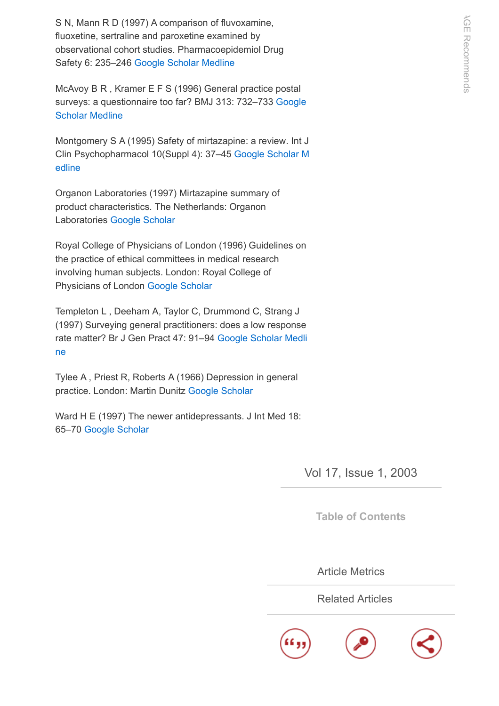S N, Mann R D (1997) A comparison of fluvoxamine, fluoxetine, sertraline and paroxetine examined by observational cohort studies. Pharmacoepidemiol Drug Safety 6: 235–246 [Google Scholar](http://scholar.google.com/scholar_lookup?publication_year=1997&pages=235-246&author=+Mackay+F+Jauthor=+Dunn+N+Rauthor=+Wilton+L+Vauthor=+Pearce+G+Lauthor=+Freemantle+S+Nauthor=+Mann+R+D&title=A+comparison+of+fluvoxamine,+fluoxetine,+sertraline+and+paroxetine+examined+by+observational+cohort+studies&) [Medline](http://journals.sagepub.com/servlet/linkout?suffix=atypb9&dbid=8&doi=10.1177%2F0269881103017001716&key=15073774)

McAvoy B R , Kramer E F S (1996) General practice postal [surveys: a questionnaire too far? BMJ 313: 732–733](http://scholar.google.com/scholar_lookup?publication_year=1996&pages=732-733&author=+McAvoy+B+Rauthor=+Kramer+E+F+S&title=General+practice+postal+surveys:+a+questionnaire+too+far?&) Google Scholar [Medline](http://journals.sagepub.com/servlet/linkout?suffix=atypb10&dbid=8&doi=10.1177%2F0269881103017001716&key=8819446)

Montgomery S A (1995) Safety of mirtazapine: a review. Int J [Clin Psychopharmacol 10\(Suppl 4\): 37–45](http://journals.sagepub.com/servlet/linkout?suffix=atypb11&dbid=8&doi=10.1177%2F0269881103017001716&key=8930008) [Google Scholar](http://scholar.google.com/scholar_lookup?publication_year=1995&pages=37-45&issue=Suppl+4&author=+Montgomery+S+A&title=Safety+of+mirtazapine:+a+review&) M edline

Organon Laboratories (1997) Mirtazapine summary of product characteristics. The Netherlands: Organon Laboratories [Google Scholar](http://scholar.google.com/scholar_lookup?publication_year=1997&issue=Suppl+4&author=+Organon+Laboratories&title=Mirtazapine+summary+of+product+characteristics&)

Royal College of Physicians of London (1996) Guidelines on the practice of ethical committees in medical research involving human subjects. London: Royal College of Physicians of London [Google Scholar](http://scholar.google.com/scholar_lookup?publication_year=1996&issue=Suppl+4&author=+Royal+College+of+Physicians+of+London&title=Guidelines+on+the+practice+of+ethical+committees+in+medical+research+involving+human+subjects&)

Templeton L , Deeham A, Taylor C, Drummond C, Strang J (1997) Surveying general practitioners: does a low response [rate matter? Br J Gen Pract 47: 91–94](http://journals.sagepub.com/servlet/linkout?suffix=atypb14&dbid=8&doi=10.1177%2F0269881103017001716&key=9101692) [Google Scholar](http://scholar.google.com/scholar_lookup?publication_year=1997&pages=91-94&author=+Templeton+Lauthor=+Deeham+Aauthor=+Taylor+Cauthor=+Drummond+Cauthor=+Strang+J&title=Surveying+general+practitioners:+does+a+low+response+rate+matter?&) Medli ne

Tylee A , Priest R, Roberts A (1966) Depression in general practice. London: Martin Dunitz [Google Scholar](http://scholar.google.com/scholar_lookup?publication_year=1966&author=+Tylee+Aauthor=+Priest+Rauthor=+Roberts+A&title=Depression+in+general+practice&)

Ward H E (1997) The newer antidepressants. J Int Med 18: 65–70 [Google Scholar](http://scholar.google.com/scholar_lookup?publication_year=1997&pages=65-70&author=+Ward+H+E&title=The+newer+antidepressants&)

Vol 17, Issue 1, 2003

**[Table of Contents](http://journals.sagepub.com/toc/jopa/17/1)**

[Article Metrics](http://journals.sagepub.com/doi/metrics/10.1177/0269881103017001716)

[Related Articles](http://journals.sagepub.com/doi/citedby/10.1177/0269881103017001716)

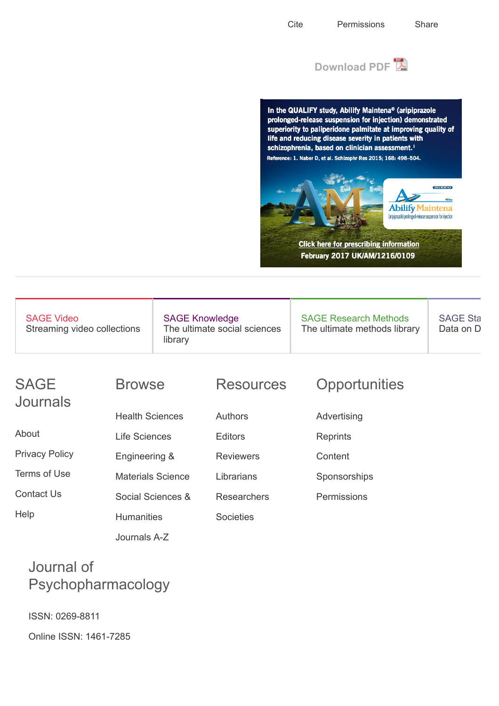

In the QUALIFY study, Abilify Maintena® (aripiprazole prolonged-release suspension for injection) demonstrated superiority to paliperidone palmitate at improving quality of life and reducing disease severity in patients with schizophrenia, based on clinician assessment.<sup>1</sup> Reference: 1. Naber D, et al. Schizophr Res 2015; 168: 498-504.



**Click here for prescribing information** February 2017 UK/AM/1216/0109

| <b>SAGE Video</b><br>Streaming video collections | <b>SAGE Knowledge</b><br>The ultimate social sciences<br>library | <b>SAGE Research Methods</b><br>The ultimate methods library | <b>SAGE Sta</b><br>Data on D |
|--------------------------------------------------|------------------------------------------------------------------|--------------------------------------------------------------|------------------------------|
|                                                  |                                                                  |                                                              |                              |

### SAGE Journals

[Privacy Policy](https://us.sagepub.com/en-us/nam/privacy-policy)

[Terms of Use](http://journals.sagepub.com/page/policies/terms-of-use)

[Contact Us](http://journals.sagepub.com/page/contact/home)

**[Help](http://journals.sagepub.com/page/help/home)** 

[About](http://www.sagepub.com/journals.nav)

Browse

[Health Sciences](http://journals.sagepub.com/action/showPublications?category=10.1177%2Fhealth-sciences)

[Life Sciences](http://journals.sagepub.com/action/showPublications?category=10.1177%2Flife-and-biomedical-sciences)

Engineering &

**Humanities** 

[Journals A-Z](http://journals.sagepub.com/action/showPublications?alphabetRange=A)

[Materials Science](http://journals.sagepub.com/action/showPublications?category=10.1177%2Fmaterials-science-and-engineering)

[Social Sciences &](http://journals.sagepub.com/action/showPublications?category=10.1177%2Fsocial-sciences-and-humanities)

### **Resources**

[Authors](http://journals.sagepub.com/page/resources/authors)

**[Editors](http://journals.sagepub.com/page/resources/editors)** 

**[Reviewers](http://journals.sagepub.com/page/resources/reviewers)** 

[Librarians](http://journals.sagepub.com/page/resources/librarians)

**[Societies](http://journals.sagepub.com/page/resources/societies)** 

[Researchers](http://journals.sagepub.com/page/resources/researchers)

## **Opportunities**

- [Advertising](https://us.sagepub.com/en-us/nam/ratecards)
- **[Reprints](http://www.uk.sagepub.com/rate-reprints.cp)**
- **Content**
- **[Sponsorships](https://us.sagepub.com/en-us/nam/content-sponsorship)**
- [Permissions](http://www.sagepub.com/journalsPermissions.nav)

# Journal of Psychopharmacology

ISSN: 0269-8811

Online ISSN: 1461-7285